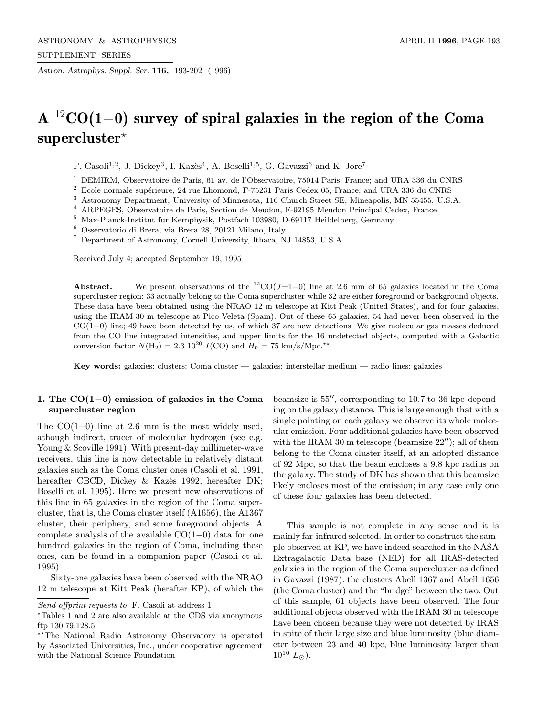Astron. Astrophys. Suppl. Ser. 116, 193-202 (1996)

# A  $12$ CO(1−0) survey of spiral galaxies in the region of the Coma  $supercluster*$

F. Casoli<sup>1,2</sup>, J. Dickey<sup>3</sup>, I. Kazès<sup>4</sup>, A. Boselli<sup>1,5</sup>, G. Gavazzi<sup>6</sup> and K. Jore<sup>7</sup>

<sup>1</sup> DEMIRM, Observatoire de Paris, 61 av. de l'Observatoire, 75014 Paris, France; and URA 336 du CNRS

 $2$  Ecole normale supérieure, 24 rue Lhomond, F-75231 Paris Cedex 05, France; and URA 336 du CNRS

<sup>3</sup> Astronomy Department, University of Minnesota, 116 Church Street SE, Mineapolis, MN 55455, U.S.A.

<sup>4</sup> ARPEGES, Observatoire de Paris, Section de Meudon, F-92195 Meudon Principal Cedex, France

 $^5\,$  Max-Planck-Institut fur Kernphysik, Postfach 103980, D-69117 Heildelberg, Germany

<sup>6</sup> Osservatorio di Brera, via Brera 28, 20121 Milano, Italy

<sup>7</sup> Department of Astronomy, Cornell University, Ithaca, NJ 14853, U.S.A.

Received July 4; accepted September 19, 1995

**Abstract.** — We present observations of the  ${}^{12}CO(J=1-0)$  line at 2.6 mm of 65 galaxies located in the Coma supercluster region: 33 actually belong to the Coma supercluster while 32 are either foreground or background objects. These data have been obtained using the NRAO 12 m telescope at Kitt Peak (United States), and for four galaxies, using the IRAM 30 m telescope at Pico Veleta (Spain). Out of these 65 galaxies, 54 had never been observed in the CO(1−0) line; 49 have been detected by us, of which 37 are new detections. We give molecular gas masses deduced from the CO line integrated intensities, and upper limits for the 16 undetected objects, computed with a Galactic conversion factor  $N(\text{H}_2) = 2.3 \times 10^{20} I(\text{CO})$  and  $H_0 = 75 \text{ km/s/Mpc.*}$ 

Key words: galaxies: clusters: Coma cluster — galaxies: interstellar medium — radio lines: galaxies

### 1. The CO(1−0) emission of galaxies in the Coma supercluster region

The  $CO(1-0)$  line at 2.6 mm is the most widely used, athough indirect, tracer of molecular hydrogen (see e.g. Young & Scoville 1991). With present-day millimeter-wave receivers, this line is now detectable in relatively distant galaxies such as the Coma cluster ones (Casoli et al. 1991, hereafter CBCD, Dickey & Kazès 1992, hereafter DK; Boselli et al. 1995). Here we present new observations of this line in 65 galaxies in the region of the Coma supercluster, that is, the Coma cluster itself (A1656), the A1367 cluster, their periphery, and some foreground objects. A complete analysis of the available CO(1−0) data for one hundred galaxies in the region of Coma, including these ones, can be found in a companion paper (Casoli et al. 1995).

Sixty-one galaxies have been observed with the NRAO 12 m telescope at Kitt Peak (herafter KP), of which the beamsize is  $55''$ , corresponding to 10.7 to 36 kpc depending on the galaxy distance. This is large enough that with a single pointing on each galaxy we observe its whole molecular emission. Four additional galaxies have been observed with the IRAM 30 m telescope (beamsize  $22^{\prime\prime}$ ); all of them belong to the Coma cluster itself, at an adopted distance of 92 Mpc, so that the beam encloses a 9.8 kpc radius on the galaxy. The study of DK has shown that this beamsize likely encloses most of the emission; in any case only one of these four galaxies has been detected.

This sample is not complete in any sense and it is mainly far-infrared selected. In order to construct the sample observed at KP, we have indeed searched in the NASA Extragalactic Data base (NED) for all IRAS-detected galaxies in the region of the Coma supercluster as defined in Gavazzi (1987): the clusters Abell 1367 and Abell 1656 (the Coma cluster) and the "bridge" between the two. Out of this sample, 61 objects have been observed. The four additional objects observed with the IRAM 30 m telescope have been chosen because they were not detected by IRAS in spite of their large size and blue luminosity (blue diameter between 23 and 40 kpc, blue luminosity larger than  $10^{10}$   $L_{\odot}$ ).

Send offprint requests to: F. Casoli at address 1

<sup>?</sup>Tables 1 and 2 are also available at the CDS via anonymous ftp 130.79.128.5

<sup>\*\*</sup> The National Radio Astronomy Observatory is operated by Associated Universities, Inc., under cooperative agreement with the National Science Foundation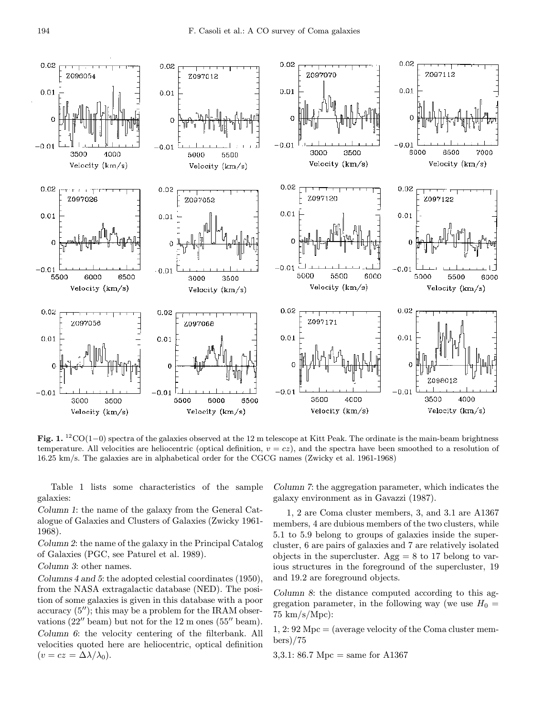

Fig. 1.  ${}^{12}CO(1-0)$  spectra of the galaxies observed at the 12 m telescope at Kitt Peak. The ordinate is the main-beam brightness temperature. All velocities are heliocentric (optical definition,  $v = cz$ ), and the spectra have been smoothed to a resolution of 16.25 km/s. The galaxies are in alphabetical order for the CGCG names (Zwicky et al. 1961-1968)

Table 1 lists some characteristics of the sample galaxies:

Column 1: the name of the galaxy from the General Catalogue of Galaxies and Clusters of Galaxies (Zwicky 1961- 1968).

Column 2: the name of the galaxy in the Principal Catalog of Galaxies (PGC, see Paturel et al. 1989).

Column 3: other names.

Columns 4 and 5: the adopted celestial coordinates (1950), from the NASA extragalactic database (NED). The position of some galaxies is given in this database with a poor accuracy  $(5'')$ ; this may be a problem for the IRAM observations  $(22''$  beam) but not for the 12 m ones  $(55''$  beam). Column 6: the velocity centering of the filterbank. All velocities quoted here are heliocentric, optical definition  $(v = cz = \Delta \lambda / \lambda_0).$ 

Column 7: the aggregation parameter, which indicates the galaxy environment as in Gavazzi (1987).

1, 2 are Coma cluster members, 3, and 3.1 are A1367 members, 4 are dubious members of the two clusters, while 5.1 to 5.9 belong to groups of galaxies inside the supercluster, 6 are pairs of galaxies and 7 are relatively isolated objects in the supercluster. Agg  $= 8$  to 17 belong to various structures in the foreground of the supercluster, 19 and 19.2 are foreground objects.

Column 8: the distance computed according to this aggregation parameter, in the following way (we use  $H_0 =$ 75 km/s/Mpc):

1, 2:  $92 \text{ Mpc} =$  (average velocity of the Coma cluster members)/75

3,3.1: 86.7 Mpc = same for A1367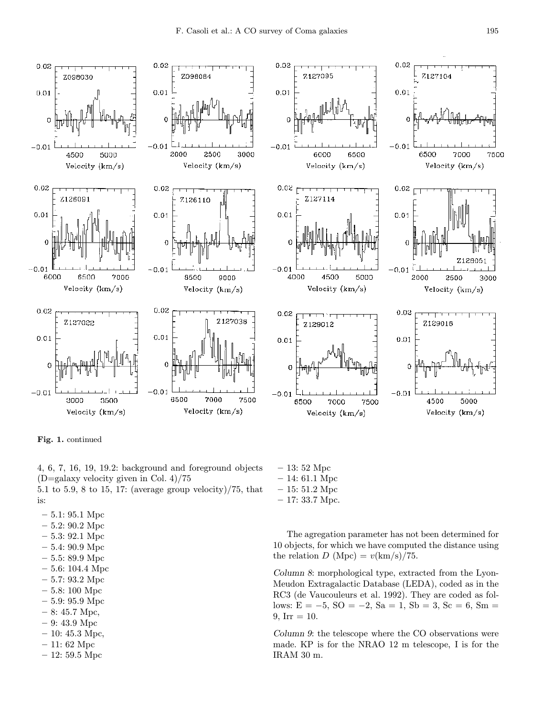

Fig. 1. continued

4, 6, 7, 16, 19, 19.2: background and foreground objects  $(D=galaxy$  velocity given in Col. 4)/75 5.1 to 5.9, 8 to 15, 17: (average group velocity)/75, that

- is:
- 5.1: 95.1 Mpc
- 5.2: 90.2 Mpc
- 5.3: 92.1 Mpc
- 5.4: 90.9 Mpc
- 5.5: 89.9 Mpc
- 5.6: 104.4 Mpc
- 5.7: 93.2 Mpc
- 5.8: 100 Mpc
- 5.9: 95.9 Mpc
- 8: 45.7 Mpc,
- 9: 43.9 Mpc
- $-10: 45.3$  Mpc,
- 11: 62 Mpc
- 12: 59.5 Mpc
- 13: 52 Mpc – 14: 61.1 Mpc
- 15: 51.2 Mpc
- 17: 33.7 Mpc.
- The agregation parameter has not been determined for 10 objects, for which we have computed the distance using the relation  $D \text{ (Mpc)} = v \text{(km/s)} / 75$ .

Column 8: morphological type, extracted from the Lyon-Meudon Extragalactic Database (LEDA), coded as in the RC3 (de Vaucouleurs et al. 1992). They are coded as follows:  $E = -5$ ,  $SO = -2$ ,  $Sa = 1$ ,  $Sb = 3$ ,  $Sc = 6$ ,  $Sm =$  $9, Irr = 10.$ 

Column 9: the telescope where the CO observations were made. KP is for the NRAO 12 m telescope, I is for the IRAM 30 m.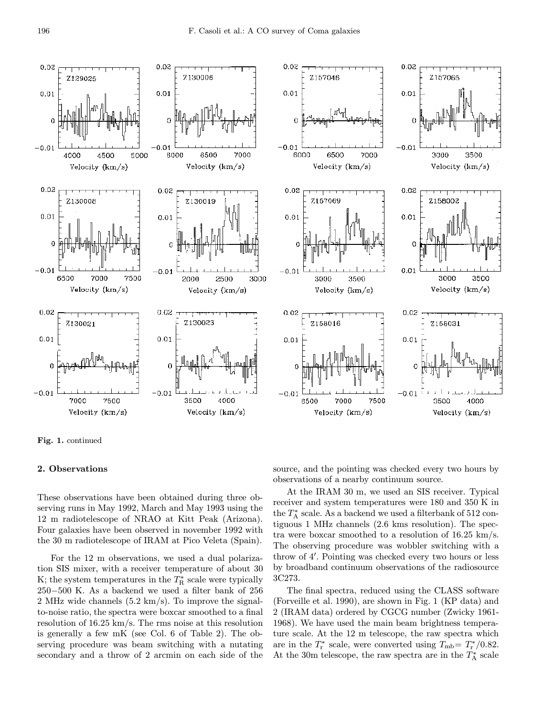$0.02$  $0.02$ 0.02 7130006 Z157046 Z129025  $0.01$  $0.01$  $0.01$  $\overline{0}$ ſ  $-0.01$  $-0.01$  $-0.01$ 7000 4000 4500 5000 6000 6500 6000 6500 7000 Velocity (km/s) Velocity (km/s) Velocity (km/s)  $0.02$  $0.02$  $0.02$ Z157069 2130008 Z130019  $0.01$  $0.01$  $0.01$  $\pmb{0}$  $\Omega$  $-0.01$  $-0.01$  $-0.01$ 6500 7000 7500 3000 3500 2000 2500 3000 Velocity (km/s) Velocity (km/s) Velocity (km/s)  $0.02$ 0.02 0.02 Z130023 Z158016 7130021  $0.01$  $0.01$  $0.01$  $\ddot{\rm{o}}$  $\Omega$  $-0.01$  $-0.01$  $-0.01$ 7000 7500 3500 4000 6500 7000 7500 Velocity (km/s) Velocity (km/s) Velocity (km/s)

Fig. 1. continued

#### 2. Observations

These observations have been obtained during three observing runs in May 1992, March and May 1993 using the 12 m radiotelescope of NRAO at Kitt Peak (Arizona). Four galaxies have been observed in november 1992 with the 30 m radiotelescope of IRAM at Pico Veleta (Spain).

For the 12 m observations, we used a dual polarization SIS mixer, with a receiver temperature of about 30 K; the system temperatures in the  $T_{\rm R}^*$  scale were typically  $250\!-\!500$  K. As a backend we used a filter bank of  $256$ 2 MHz wide channels (5.2 km/s). To improve the signalto-noise ratio, the spectra were boxcar smoothed to a final resolution of 16.25 km/s. The rms noise at this resolution is generally a few mK (see Col. 6 of Table 2). The observing procedure was beam switching with a nutating secondary and a throw of 2 arcmin on each side of the source, and the pointing was checked every two hours by observations of a nearby continuum source.

 $0.02$ 

 $0.01$ 

 $-0.01$ 

 $0.02$ 

 $0.01$ 

 $0.01$ 

 $0.02$ 

 $0.01$ 

 $-0.01$ 

Z157065

3000

Z158002

3000

Z158031

3500

Velocity (km/s)

3500 Velocity (km/s)

3500

4000

Velocity (km/s)

At the IRAM 30 m, we used an SIS receiver. Typical receiver and system temperatures were 180 and 350 K in the  $T_{\rm A}^*$  scale. As a backend we used a filterbank of 512 contiguous 1 MHz channels (2.6 kms resolution). The spectra were boxcar smoothed to a resolution of  $16.25 \text{ km/s}$ . The observing procedure was wobbler switching with a throw of 4'. Pointing was checked every two hours or less by broadband continuum observations of the radiosource 3C273.

The final spectra, reduced using the CLASS software (Forveille et al. 1990), are shown in Fig. 1 (KP data) and 2 (IRAM data) ordered by CGCG number (Zwicky 1961- 1968). We have used the main beam brightness temperature scale. At the 12 m telescope, the raw spectra which are in the  $T_{\rm r}^*$  scale, were converted using  $T_{\rm mb} = T_{\rm r}^*/0.82$ . At the 30m telescope, the raw spectra are in the  $T_{\rm A}^*$  scale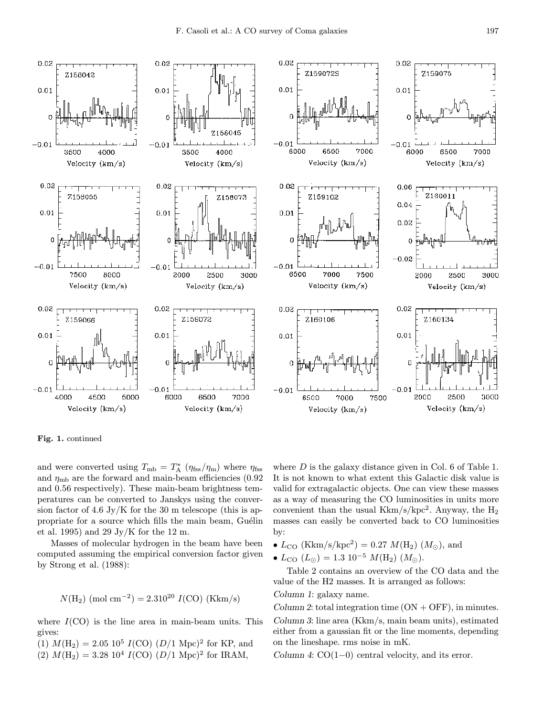

Fig. 1. continued

and were converted using  $T_{\rm mb} = T_{\rm A}^*$  ( $\eta_{\rm fss}/\eta_{\rm m}$ ) where  $\eta_{\rm fss}$ and  $\eta_{\rm mb}$  are the forward and main-beam efficiencies (0.92) and 0.56 respectively). These main-beam brightness temperatures can be converted to Janskys using the conversion factor of 4.6 Jy/K for the 30 m telescope (this is appropriate for a source which fills the main beam, Guélin et al. 1995) and 29 Jy/K for the 12 m.

Masses of molecular hydrogen in the beam have been computed assuming the empirical conversion factor given by Strong et al. (1988):

$$
N(H_2)
$$
 (mol cm<sup>-2</sup>) = 2.310<sup>20</sup> I(CO) (Kkm/s)

where  $I(CO)$  is the line area in main-beam units. This gives:

(1)  $M(\text{H}_2) = 2.05 \; 10^5 \; I(\text{CO}) \; (D/1 \; \text{Mpc})^2$  for KP, and (2)  $M(\text{H}_2) = 3.28 \, 10^4 \, I(\text{CO}) \, (D/1 \, \text{Mpc})^2$  for IRAM,

where  $D$  is the galaxy distance given in Col. 6 of Table 1. It is not known to what extent this Galactic disk value is valid for extragalactic objects. One can view these masses as a way of measuring the CO luminosities in units more convenient than the usual  $Kkm/s/kpc^2$ . Anyway, the  $H_2$ masses can easily be converted back to CO luminosities by:

- $L_{\text{CO}}$  (Kkm/s/kpc<sup>2</sup>) = 0.27  $M(\text{H}_2)$  ( $M_{\odot}$ ), and
- $L_{\text{CO}} (L_{\odot}) = 1.3 \; 10^{-5} \; M(\text{H}_2) (M_{\odot}).$

Table 2 contains an overview of the CO data and the value of the H2 masses. It is arranged as follows:

Column 1: galaxy name.

Column 2: total integration time  $(ON + OFF)$ , in minutes. Column 3: line area (Kkm/s, main beam units), estimated either from a gaussian fit or the line moments, depending on the lineshape. rms noise in mK.

Column 4: CO(1−0) central velocity, and its error.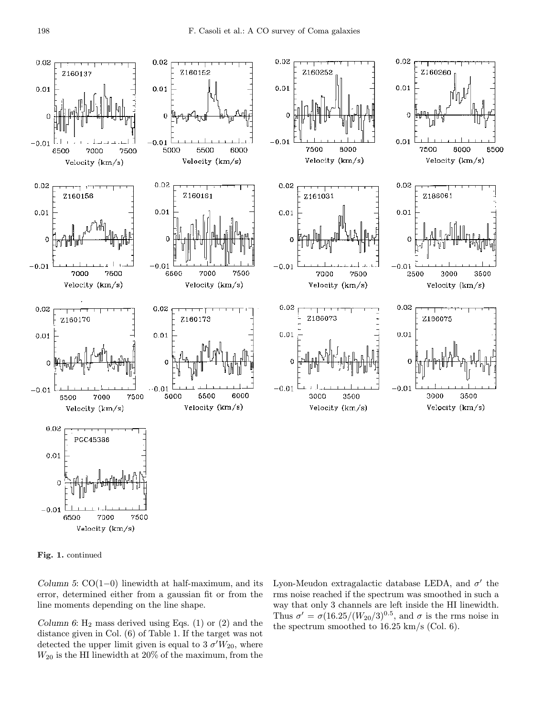

Fig. 1. continued

Column 5:  $CO(1-0)$  linewidth at half-maximum, and its error, determined either from a gaussian fit or from the line moments depending on the line shape.

Column 6:  $H_2$  mass derived using Eqs. (1) or (2) and the distance given in Col. (6) of Table 1. If the target was not detected the upper limit given is equal to 3  $\sigma'W_{20}$ , where  $W_{20}$  is the HI linewidth at  $20\%$  of the maximum, from the Lyon-Meudon extragalactic database LEDA, and  $\sigma'$  the rms noise reached if the spectrum was smoothed in such a way that only 3 channels are left inside the HI linewidth. Thus  $\sigma' = \sigma(16.25/(W_{20}/3)^{0.5}$ , and  $\sigma$  is the rms noise in the spectrum smoothed to 16.25 km/s (Col. 6).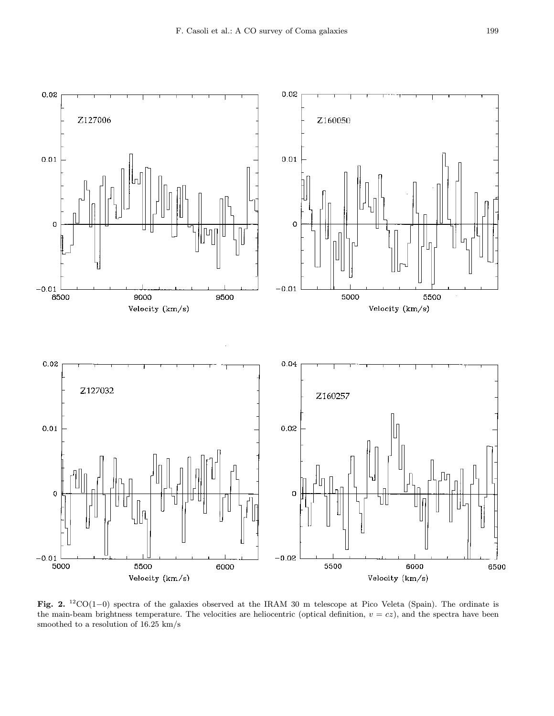

Fig. 2. <sup>12</sup>CO(1−0) spectra of the galaxies observed at the IRAM 30 m telescope at Pico Veleta (Spain). The ordinate is the main-beam brightness temperature. The velocities are heliocentric (optical definition,  $v = cz$ ), and the spectra have been smoothed to a resolution of 16.25 km/s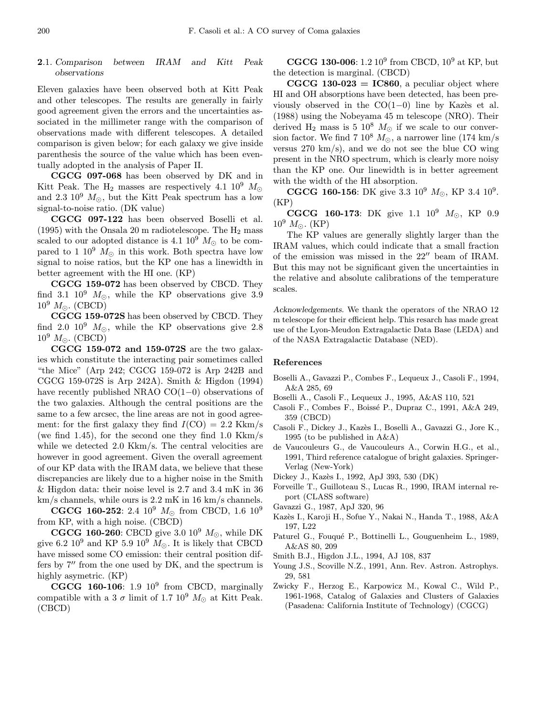## 2.1. Comparison between IRAM and Kitt Peak observations

Eleven galaxies have been observed both at Kitt Peak and other telescopes. The results are generally in fairly good agreement given the errors and the uncertainties associated in the millimeter range with the comparison of observations made with different telescopes. A detailed comparison is given below; for each galaxy we give inside parenthesis the source of the value which has been eventually adopted in the analysis of Paper II.

CGCG 097-068 has been observed by DK and in Kitt Peak. The H<sub>2</sub> masses are respectively 4.1  $10^9$   $M_{\odot}$ and 2.3  $10^9$   $M_{\odot}$ , but the Kitt Peak spectrum has a low signal-to-noise ratio. (DK value)

CGCG 097-122 has been observed Boselli et al. (1995) with the Onsala 20 m radiotelescope. The  $H_2$  mass scaled to our adopted distance is 4.1  $10^9$   $M_{\odot}$  to be compared to 1  $10^9$   $M_{\odot}$  in this work. Both spectra have low signal to noise ratios, but the KP one has a linewidth in better agreement with the HI one. (KP)

CGCG 159-072 has been observed by CBCD. They find 3.1  $10^9$   $M_{\odot}$ , while the KP observations give 3.9  $10^9$   $M_{\odot}$ . (CBCD)

CGCG 159-072S has been observed by CBCD. They find 2.0  $10^9$   $M_{\odot}$ , while the KP observations give 2.8  $10^9$   $M_{\odot}$ . (CBCD)

CGCG 159-072 and 159-072S are the two galaxies which constitute the interacting pair sometimes called "the Mice" (Arp 242; CGCG 159-072 is Arp 242B and CGCG 159-072S is Arp 242A). Smith & Higdon (1994) have recently published NRAO CO(1−0) observations of the two galaxies. Although the central positions are the same to a few arcsec, the line areas are not in good agreement: for the first galaxy they find  $I(CO) = 2.2$  Kkm/s (we find 1.45), for the second one they find 1.0 Kkm/s while we detected 2.0 Kkm/s. The central velocities are however in good agreement. Given the overall agreement of our KP data with the IRAM data, we believe that these discrepancies are likely due to a higher noise in the Smith & Higdon data: their noise level is 2.7 and 3.4 mK in 36 km/s channels, while ours is 2.2 mK in 16 km/s channels.

**CGCG 160-252**: 2.4  $10^9$   $M_{\odot}$  from CBCD, 1.6  $10^9$ from KP, with a high noise. (CBCD)

CGCG 160-260: CBCD give 3.0  $10^9$   $M_{\odot}$ , while DK give 6.2  $10^9$  and KP 5.9  $10^9$   $M_{\odot}$ . It is likely that CBCD have missed some CO emission: their central position differs by  $7''$  from the one used by DK, and the spectrum is highly asymetric. (KP)

CGCG 160-106:  $1.9 \, 10^9$  from CBCD, marginally compatible with a 3  $\sigma$  limit of 1.7 10<sup>9</sup>  $M_{\odot}$  at Kitt Peak. (CBCD)

**CGCG 130-006**: 1.2 10<sup>9</sup> from CBCD, 10<sup>9</sup> at KP, but the detection is marginal. (CBCD)

 $CGCG 130-023 = IC860$ , a peculiar object where HI and OH absorptions have been detected, has been previously observed in the  $CO(1-0)$  line by Kazès et al. (1988) using the Nobeyama 45 m telescope (NRO). Their derived H<sub>2</sub> mass is 5 10<sup>8</sup>  $M_{\odot}$  if we scale to our conversion factor. We find 7  $10^8$   $M_{\odot}$ , a narrower line (174 km/s) versus  $270 \text{ km/s}$ , and we do not see the blue CO wing present in the NRO spectrum, which is clearly more noisy than the KP one. Our linewidth is in better agreement with the width of the HI absorption.

**CGCG 160-156**: DK give 3.3  $10^9$   $M_{\odot}$ , KP 3.4  $10^9$ .  $(KP)$ 

**CGCG 160-173:** DK give 1.1  $10^9$   $M_{\odot}$ , KP 0.9  $10^9$   $M_{\odot}$ . (KP)

The KP values are generally slightly larger than the IRAM values, which could indicate that a small fraction of the emission was missed in the  $22^{\prime\prime}$  beam of IRAM. But this may not be significant given the uncertainties in the relative and absolute calibrations of the temperature scales.

Acknowledgements. We thank the operators of the NRAO 12 m telescope for their efficient help. This resarch has made great use of the Lyon-Meudon Extragalactic Data Base (LEDA) and of the NASA Extragalactic Database (NED).

#### References

- Boselli A., Gavazzi P., Combes F., Lequeux J., Casoli F., 1994, A&A 285, 69
- Boselli A., Casoli F., Lequeux J., 1995, A&AS 110, 521
- Casoli F., Combes F., Boissé P., Dupraz C., 1991, A&A 249, 359 (CBCD)
- Casoli F., Dickey J., Kazès I., Boselli A., Gavazzi G., Jore K., 1995 (to be published in A&A)
- de Vaucouleurs G., de Vaucouleurs A., Corwin H.G., et al., 1991, Third reference catalogue of bright galaxies. Springer-Verlag (New-York)
- Dickey J., Kazès I., 1992, ApJ 393, 530 (DK)
- Forveille T., Guilloteau S., Lucas R., 1990, IRAM internal report (CLASS software)
- Gavazzi G., 1987, ApJ 320, 96
- Kazès I., Karoji H., Sofue Y., Nakai N., Handa T., 1988, A&A 197, L22
- Paturel G., Fouqué P., Bottinelli L., Gouguenheim L., 1989, A&AS 80, 209
- Smith B.J., Higdon J.L., 1994, AJ 108, 837
- Young J.S., Scoville N.Z., 1991, Ann. Rev. Astron. Astrophys. 29, 581
- Zwicky F., Herzog E., Karpowicz M., Kowal C., Wild P., 1961-1968, Catalog of Galaxies and Clusters of Galaxies (Pasadena: California Institute of Technology) (CGCG)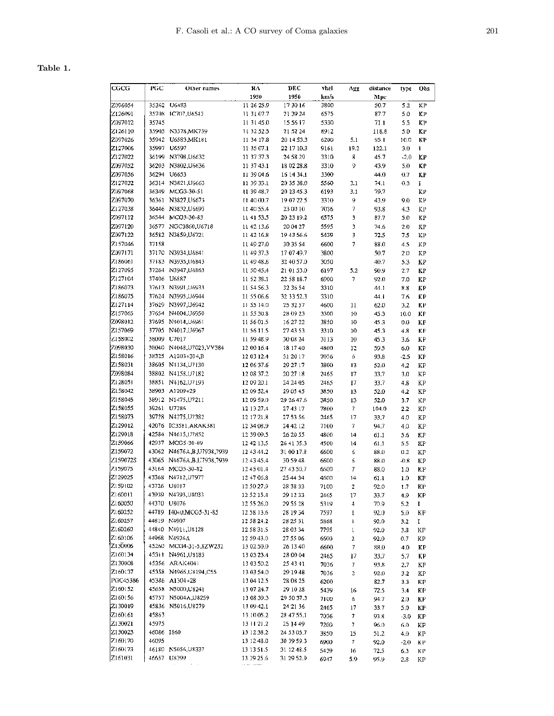## Table 1.

| CGCG               | PGC            | Other names                                 | RA                       | DEC                    | vhel         | Agg             | distance     | type          | Obs                   |
|--------------------|----------------|---------------------------------------------|--------------------------|------------------------|--------------|-----------------|--------------|---------------|-----------------------|
|                    |                |                                             | 1950                     | 1950                   | km/s         |                 | Mpc          |               |                       |
| Z096054            | 35362          | U6483                                       | 11 26 25.9               | 17 30 16               | 3800         |                 | 50.7         | 5.2           | КP                    |
| 2126091            | 35708          | IC707,U6543                                 | 11 31 07.7               | 21 39 24               | 6575         |                 | 87.7         | 5.0           | КP                    |
| 2097012            | 35745          |                                             | 11 31 45.0               | 15 56 17               | 5330         |                 | 71.1         | 5.5           | КÞ                    |
| Z126110            |                | 35905 N3578, MK739                          | 11 32 52.5               | 21 52 24               | 8912         |                 | 118.8        | 5.0           | ΚP                    |
| Z097026            |                | 35942 U6583, MK181                          | 11 34 17.8               | 20 14 53.3             | 6200         | 5.1             | 95.1         | 10.0          | КP                    |
| Z127006            | 35997          | U6597                                       | 11 35 07.1               | 22 17 10.3             | 9161         | 19.2            | 122.1        | 3.0           | Ĩ.                    |
| Z127022            |                | 36199 N3798,U6632                           | 11 37 37.3               | 24 58 29               | 3310         | 8               | 45.7         | $-2,0$        | КP                    |
| Z097052            |                | 36203 N3802, U6636                          | 11 37 43.1               | 18 02 28.8             | 3310         | 9               | 43.9         | 5.0           | КP                    |
| Z097056            |                | 36294 U6653                                 | 11 39 04.6               | 16 14 34.1             | 3300         |                 | 44.0         | 0.7           | KP                    |
| Z127032            |                | 36314 N3821,U6663                           | 11 39 33.1               | 20 35 38.0             | 5560         | 3.1             | 74.1         | 0.3           | I                     |
| 2097068            |                | 36349 MCG3-30-51                            | 11 39 48.7               | 20 23 45.3             | 6193         | 3.1             | 79.7         |               | ΚP                    |
| Z097070<br>Z127038 |                | 36361 N3827, U6673<br>36446 N3832,U6693     | 11:40:00.7               | 19 07 22.5             | 3310         | 9               | 43.9         | 9.0           | KΡ                    |
| 2097112            |                | 36544 MCG3-30-83                            | 11 40 55.4<br>11 41 53.5 | 23 00 10<br>20 23 19.2 | 7036<br>6575 | 7<br>3          | 93.8<br>87.7 | 4.3<br>5.0    | KI <sub>2</sub><br>ΚP |
| Z097120            |                | 36577 NGC3860 U6718                         | 11 42 13.6               | 20 04 27               | 5595         | 3               |              | 2.0           |                       |
| Z097122            |                | 36582 N3859,U6721                           | 11 42 16.8               | 194356.6               | 5439         | 3               | 74.6<br>72.5 | 7.5           | ΚP<br>ΚP              |
| 2157046            | 37158          |                                             | 11 49 27.0               | 30 35 54               | 6600         | 7               | 88.0         | 4.5           | КP                    |
| Z097171            |                | 37170 N3934,U6841                           | 11 49 37.3               | 17 07 49.7             | 3800         |                 | 50.7         | 2.0           | ΚP                    |
| 2186061            |                | 37183 N3935, U6843                          | 11 49 48.6               | 32 40 57.0             | 3050         |                 | 40.7         | 5.3           | ΚP                    |
| Z127095            | 37264          | N3947,U6863                                 | 11 50 45.4               | 21 01 53.0             | 6197         | 5.2             | 90.9         | 2.7           | КP                    |
| Z127104            | 37406          | U6887                                       | 11 52 38.1               | 22 58 18.7             | 6900         | 7               | 92.0         | 7.0           | ΚP                    |
| Z186073            |                | 37613 N3991,U6933                           | 11 54 56.3               | 32 36 54               | 3310         |                 | 44.1         | 8.8           | KР                    |
| 2186075            |                | 37624 N3995,U6944                           | 11 55 06.6               | 32 33 52.3             | 3310         |                 | 44.1         | 7,6           | КP                    |
| Z127114            |                | 37629 N3997,U6942                           | 11.55.14.0               | 25 32 57               | 4600         | 11              | 62.0         | 3.2           | КP                    |
| Z157065            |                | 37654 N4004,U6950                           | 11 55 30.8               | 28 09 23               | 3300         | 10              | 45.3         | 10.0          | КP                    |
| Z098012            |                | 37695 N4014, U6961                          | 11 56 01.5               | 16 27 22               | 3850         | 10              | 45.3         | 0.0           | ΚP                    |
| Z157069            |                | 37705 N4017,U6967                           | 11 56 11.5               | 27 43 53               | 3310         | 10              | 45.3         | $^{4.8}$      | КP                    |
| 2158002            |                | 38009 U7017                                 | 11 59 48.9               | 30 08 24               | 3113         | 10              | 45.3         | 3.6           | ΚP                    |
| 2098030            |                | 38040 N4048,U7023,VV384                     | 12 00 16.4               | 18 17 40               | 4800         | 12              | 59.5         | 6.0           | ΚP                    |
| Z158016            |                | 38325 A1203+314 B                           | 12 03 12.4               | 31 20 17               | 7036         | 6               | 93.8         | $-2.5$        | ΚP                    |
| Z158031            |                | 38605 N4134, U7130                          | 12 06 37.6               | 29 27 17               | 3800         | 13              | 52.0         | 4.2           | ΚP                    |
| Z098084            |                | 38802 N4158, U7182                          | 12 08 37.2               | 20 27 18               | 2465         | 17              | 33.7         | 3.0           | ΚP                    |
| Z128051            |                | 38851 N4162, U7193                          | 12 09 20.1               | 24 24 05               | 2465         | 17              | 33,7         | 4.8           | ΚP                    |
| Z158042            |                | 38903 A1209+29                              | 12 09 52.4               | 29 05 45               | 3850         | 13              | 52.0         | 4.2           | KP                    |
| 2158045            |                | 38912 N1475, U7211                          | 12 09 59.0               | 29 26 47.6             | 3850         | 13              | 52.0         | 3.7           | КP                    |
| Z158055            | 39261          | U7286                                       | 12 13 27.4               | 274317                 | 7800         | 7               | 104.0        | 2.2           | ΚP                    |
| Z158073            |                | 39728 N4275, U7382                          | 12 17 21.8               | 27 53 56               | 2465         | 17              | 33.7         | 4.0           | ΚP                    |
| Z129012<br>Z129018 |                | 42076 IC3581, ARAK381<br>42584 N4615, U7852 | 12 34 08.9               | 24 42 12               | 7100         | 7               | 94.7         | 4.0           | ΚP                    |
| Z159066            |                | 42937 MCG5-30-69                            | 12 39 09.5<br>12 42 13.5 | 26 20 55<br>26 41 35.3 | 4800         | $\overline{14}$ | 61.1         | 5.6           | ΚP                    |
| Z159072            |                | 43062 N4676A,B,U7938,7939                   | 12 43 44.2               | 31 00 17.8             | 4500<br>6600 | 14<br>6         | 61.1<br>88.0 | 5.5<br>0.2    | KP<br>КP              |
| Z159072S           |                | 43065 N4676A,B,U7938,7939                   | 124345.4                 | 30 59 48               | 6600         | б               | 88.0         | $-0.8$        | ΚP                    |
| 2159075            |                | 43164 MCG5-30-82                            | 12 45 01.4               | 27 43 50.7             | 6600         | 7               | 88.0         | 1.0           | K۲                    |
| Z129025            |                | 43368 N4712, U7977                          | 124706.8                 | 25 44 34               | 4600         | 14              | 61.1         | 1.0           | KP                    |
| 2159102            |                | 43726 U8017                                 | 12 50 27.9               | 28 38 33               | 7100         | 2               | 92.0         | 1.7           | КP                    |
| Z160011            |                | 43939 N4793, U8033                          | 12 52 15.4               | 29 12 33               | 2465         | 17              | 33.7         | 4.9           | КP                    |
| Z160050            |                | 44370 U8076                                 | 12 55 26.0               | 29 55 28               | 5319         | 4               | 70.9         | 5.2           | I                     |
| Z160252            |                | 44789 I4040, MCG5-31-85                     | 12 58 13.6               | 28 19 34               | 7597         | ı               | 92.0         | 5.0           | КP                    |
| Z160257            |                | 44819 N4907                                 | 12 58 24.2               | 28 25 31               | 5868         | ţ               | 92.0         | 3.2           | Ι.                    |
| Z160260            |                | 44840 N4911, U8128                          | 12 58 31.5               | 28 03 34               | 7795         | l               | 92.0         | 3.8           | КP                    |
| Z160106            |                | 44968 N4926A                                | 12 59 43.0               | 27 55 06               | 6600         | 2               | 92.0         | 0.7           | ΚP                    |
| Z130006            |                | 45260 MCG4-31-5,8ZW232                      | 13 02 50.0               | 26 13 40               | 6600         | 7               | 88.0         | 4.0           | ΚP                    |
| Z160134            |                | 45311 N4961,U8185                           | 13 03 23.4               | 28 00 04               | 2465         | 17              | 33.7         | 5.7           | КP                    |
| 2130008            |                | 45356 ARAK4041                              | 13 03 50.2               | 25 43 41               | 7036         | 7               | 93.8         | 2.7           | ΚP                    |
| Z160137            |                | 45358 N4966, U8194, C55                     | 13 03 54.0               | 29 19 48               | 7036         | 2               | 92.0         | 3.2           | ΚP                    |
| PGC45386           |                | 45386 A1304+28                              | 13 04 12.5               | 28 08 25               | 6200         |                 | 82.7         | 3.3           | КP                    |
| 2160152            |                | 45658 N5000, U8241                          | 13 07 24.7               | 29 10 28               | 5439         | 16              | 72.5         | 3,4           | КP                    |
| Z160156            |                | 45757 N5004A, U8259                         | 13 08 39.3               | 29 50 37.3             | 7100         | 6               | 94.7         | 2.0           | KР                    |
| Z130019<br>Z160161 |                | 45836 N5016,U8279                           | 13 09 42.1               | 24 21 36               | 2465         | 17              | 33.7         | 5.0           | KP                    |
| Z130021            | 45863<br>45975 |                                             | 13 10 05.2<br>13 11 21.2 | 28 47 55.1<br>25 14 49 | 7036         | 7               | 93.8         | $-3.0$        | КP                    |
| 2130023            | 46086 1860     |                                             | 13 12 38.2               | 24 53 05.7             | 7200         | 7               | 96.0         | 6.0           | ΚP                    |
| 2160170            | 46095          |                                             | 13 12 48.0               | 30 39 59 3             | 3850<br>6900 | 15<br>7         | 51.2<br>92.0 | 4.0<br>$-2.0$ | ΚP<br>ΚP              |
| 7160173            |                | 46180 N5056, U8337                          | 13 13 51.5               | 31 12 48.5             | 5439         | 16              | 72.5         | 6.3           | КP                    |
| Z161031            |                | 46657 U8399                                 | 13 19 25.6               | 31 29 52.9             | 6947         | 5.9             | 95.9         | 2.8           | ΚP                    |
|                    |                |                                             | .                        |                        |              |                 |              |               |                       |